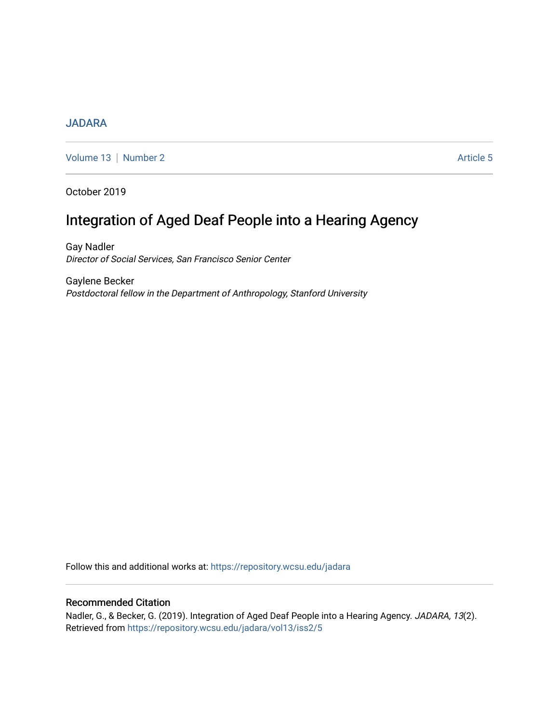# **[JADARA](https://repository.wcsu.edu/jadara)**

[Volume 13](https://repository.wcsu.edu/jadara/vol13) | [Number 2](https://repository.wcsu.edu/jadara/vol13/iss2) Article 5

October 2019

# Integration of Aged Deaf People into a Hearing Agency

Gay Nadler Director of Social Services, San Francisco Senior Center

Gaylene Becker Postdoctoral fellow in the Department of Anthropology, Stanford University

Follow this and additional works at: [https://repository.wcsu.edu/jadara](https://repository.wcsu.edu/jadara?utm_source=repository.wcsu.edu%2Fjadara%2Fvol13%2Fiss2%2F5&utm_medium=PDF&utm_campaign=PDFCoverPages)

## Recommended Citation

Nadler, G., & Becker, G. (2019). Integration of Aged Deaf People into a Hearing Agency. JADARA, 13(2). Retrieved from [https://repository.wcsu.edu/jadara/vol13/iss2/5](https://repository.wcsu.edu/jadara/vol13/iss2/5?utm_source=repository.wcsu.edu%2Fjadara%2Fvol13%2Fiss2%2F5&utm_medium=PDF&utm_campaign=PDFCoverPages)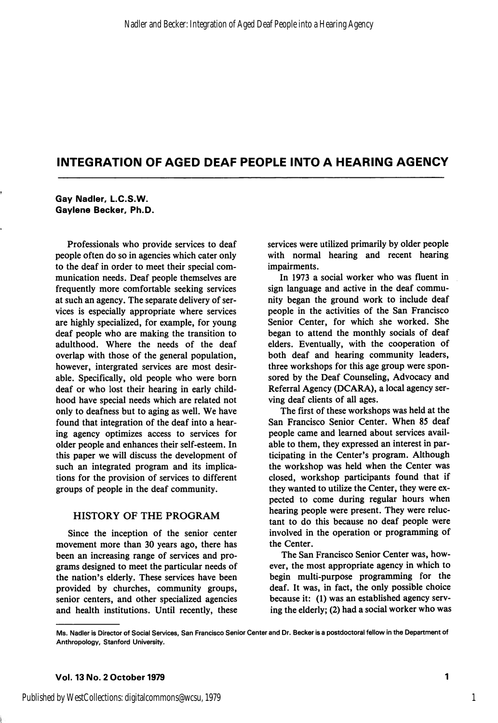#### Gay Nadler, L.C.S.W. Gaylene Becker, Ph.D.

Professionals who provide services to deaf people often do so in agencies which cater only to the deaf in order to meet their special com munication needs. Deaf people themselves are frequently more comfortable seeking services at such an agency. The separate delivery of ser vices is especially appropriate where services are highly specialized, for example, for young deaf people who are making the transition to adulthood. Where the needs of the deaf overlap with those of the general population, however, intergrated services are most desir able. Specifically, old people who were born deaf or who lost their hearing in early child hood have special needs which are related not only to deafness but to aging as well. We have found that integration of the deaf into a hear ing agency optimizes access to services for older people and enhances their self-esteem. In this paper we will discuss the development of such an integrated program and its implica tions for the provision of services to different groups of people in the deaf community.

## HISTORY OF THE PROGRAM

Since the inception of the senior center movement more than 30 years ago, there has been an increasing range of services and pro grams designed to meet the particular needs of the nation's elderly. These services have been provided by churches, community groups, senior centers, and other specialized agencies and health institutions. Until recently, these services were utilized primarily by older people with normal hearing and recent hearing impairments.

In 1973 a social worker who was fluent in sign language and active in the deaf commu nity began the ground work to include deaf people in the activities of the San Francisco Senior Center, for which she worked. She began to attend the monthly socials of deaf elders. Eventually, with the cooperation of both deaf and hearing community leaders, three workshops for this age group were spon sored by the Deaf Counseling, Advocacy and Referral Agency (DCARA), a local agency ser ving deaf clients of all ages.

The first of these workshops was held at the San Francisco Senior Center. When 85 deaf people came and learned about services avail able to them, they expressed an interest in par ticipating in the Center's program. Although the workshop was held when the Center was closed, workshop participants found that if they wanted to utilize the Center, they were ex pected to come during regular hours when hearing people were present. They were reluc tant to do this because no deaf people were involved in the operation or programming of the Center.

The San Francisco Senior Center was, how ever, the most appropriate agency in which to begin multi-purpose programming for the deaf. It was, in fact, the only possible choice because it: (1) was an established agency serv ing the elderly; (2) had a social worker who was

Ms. Nadler is Director of Social Services, San Francisco Senior Center and Dr. Becker is a postdoctoral fellow in the Department of Anthropology, Stanford University.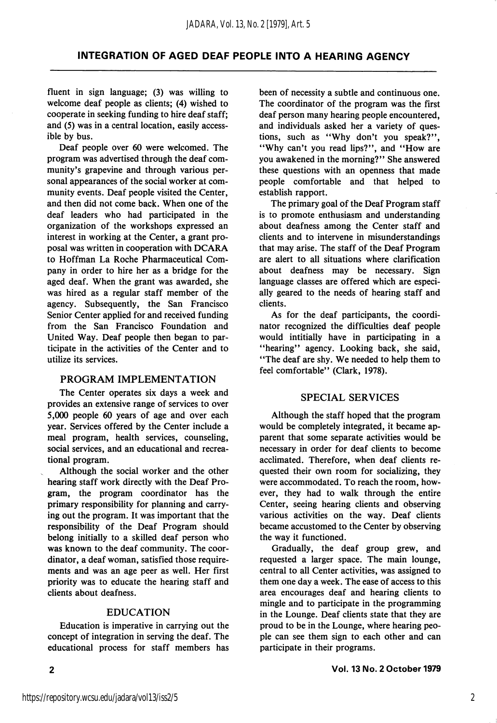fluent in sign language; (3) was willing to welcome deaf people as clients; (4) wished to cooperate in seeking funding to hire deaf staff; and (5) was in a central location, easily access ible by bus.

Deaf people over 60 were welcomed. The program was advertised through the deaf com munity's grapevine and through various per sonal appearances of the social worker at com munity events. Deaf people visited the Center, and then did not come back. When one of the deaf leaders who had participated in the organization of the workshops expressed an interest in working at the Center, a grant pro posal was written in cooperation with DCARA to Hoffman La Roche Pharmaceutical Com pany in order to hire her as a bridge for the aged deaf. When the grant was awarded, she was hired as a regular staff member of the agency. Subsequently, the San Francisco Senior Center applied for and received funding from the San Francisco Foundation and United Way. Deaf people then began to par ticipate in the activities of the Center and to utilize its services.

#### PROGRAM IMPLEMENTATION

The Center operates six days a week and provides an extensive range of services to over 5,000 people 60 years of age and over each year. Services offered by the Center include a meal program, health services, counseling, social services, and an educational and recrea tional program.

Although the social worker and the other hearing staff work directly with the Deaf Pro gram, the program coordinator has the primary responsibility for planning and carry ing out the program. It was important that the responsibility of the Deaf Program should belong initially to a skilled deaf person who was known to the deaf community. The coor dinator, a deaf woman, satisfied those require ments and was an age peer as well. Her first priority was to educate the hearing staff and clients about deafness.

#### EDUCATION

Education is imperative in carrying out the concept of integration in serving the deaf. The educational process for staff members has been of necessity a subtle and continuous one. The coordinator of the program was the first deaf person many hearing people encountered, and individuals asked her a variety of ques tions, such as ''Why don't you speak?", "Why can't you read lips?", and "How are you awakened in the morning?" She answered these questions with an openness that made people comfortable and that helped to establish rapport.

The primary goal of the Deaf Program staff is to promote enthusiasm and understanding about deafness among the Center staff and clients and to intervene in misunderstandings that may arise. The staff of the Deaf Program are alert to all situations where clarification about deafness may be necessary. Sign language classes are offered which are especi ally geared to the needs of hearing staff and clients.

As for the deaf participants, the coordi nator recognized the difficulties deaf people would intitially have in participating in a "hearing" agency. Looking back, she said, "The deaf are shy. We needed to help them to feel comfortable" (Clark, 1978).

#### SPECIAL SERVICES

Although the staff hoped that the program would be completely integrated, it became ap parent that some separate activities would be necessary in order for deaf clients to become acclimated. Therefore, when deaf clients re quested their own room for socializing, they were accommodated. To reach the room, how ever, they had to walk through the entire Center, seeing hearing clients and observing various activities on the way. Deaf clients became accustomed to the Center by observing the way it functioned.

Gradually, the deaf group grew, and requested a larger space. The main lounge, central to all Center activities, was assigned to them one day a week. The ease of access to this area encourages deaf and hearing clients to mingle and to participate in the programming in the Lounge. Deaf clients state that they are proud to be in the Lounge, where hearing peo ple can see them sign to each other and can participate in their programs.

 $\overline{2}$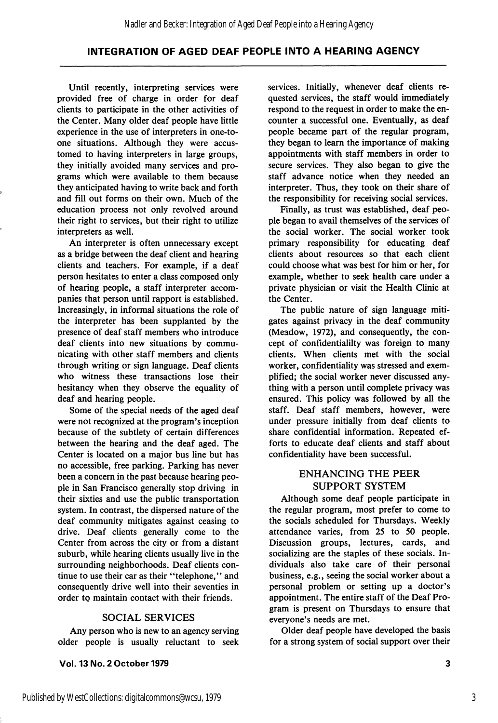Until recently, interpreting services were provided free of charge in order for deaf clients to participate in the other activities of the Center. Many older deaf people have little experience in the use of interpreters in one-toone situations. Although they were accus tomed to having interpreters in large groups, they initially avoided many services and pro grams which were available to them because they anticipated having to write back and forth and fill out forms on their own. Much of the education process not only revolved around their right to services, but their right to utilize interpreters as well.

An interpreter is often unnecessary except as a bridge between the deaf client and hearing clients and teachers. For example, if a deaf person hesitates to enter a class composed only of hearing people, a staff interpreter accom panies that person until rapport is established. Increasingly, in informal situations the role of the interpreter has been supplanted by the presence of deaf staff members who introduce deaf clients into new situations by commu nicating with other staff members and clients through writing or sign language. Deaf clients who witness these transactions lose their hesitancy when they observe the equality of deaf and hearing people.

Some of the special needs of the aged deaf were not recognized at the program's inception because of the subtlety of certain differences between the hearing and the deaf aged. The Center is located on a major bus line but has no accessible, free parking. Parking has never been a concern in the past because hearing peo ple in San Francisco generally stop driving in their sixties and use the public transportation system. In contrast, the dispersed nature of the deaf community mitigates against ceasing to drive. Deaf clients generally come to the Center from across the city or from a distant suburb, while hearing clients usually live in the surrounding neighborhoods. Deaf clients con tinue to use their car as their "telephone," and consequently drive well into their seventies in order to maintain contact with their friends.

#### SOCIAL SERVICES

Any person who is new to an agency serving older people is usually reluctant to seek

Vol. 13 No. 2 October 1979

services. Initially, whenever deaf clients re quested services, the staff would immediately respond to the request in order to make the en counter a successful one. Eventually, as deaf people became part of the regular program, they began to learn the importance of making appointments with staff members in order to secure services. They also began to give the staff advance notice when they needed an interpreter. Thus, they took on their share of the responsibility for receiving social services.

Finally, as trust was established, deaf peo ple began to avail themselves of the services of the social worker. The social worker took primary responsibility for educating deaf clients about resources so that each client could choose what was best for him or her, for example, whether to seek health care under a private physician or visit the Health Clinic at the Center.

The public nature of sign language miti gates against privacy in the deaf community (Meadow, 1972), and consequently, the con cept of confidentialilty was foreign to many clients. When clients met with the social worker, confidentiality was stressed and exem plified; the social worker never discussed any thing with a person until complete privacy was ensured. This policy was followed by all the staff. Deaf staff members, however, were under pressure initially from deaf clients to share confidential information. Repeated ef forts to educate deaf clients and staff about confidentiality have been successful.

## ENHANCING THE PEER SUPPORT SYSTEM

Although some deaf people participate in the regular program, most prefer to come to the socials scheduled for Thursdays. Weekly attendance varies, from 25 to 50 people. Discussion groups, lectures, cards, and socializing are the staples of these socials. In dividuals also take care of their personal business, e.g., seeing the social worker about a personal problem or setting up a doctor's appointment. The entire staff of the Deaf Pro gram is present on Thursdays to ensure that everyone's needs are met.

Older deaf people have developed the basis for a strong system of social support over their

3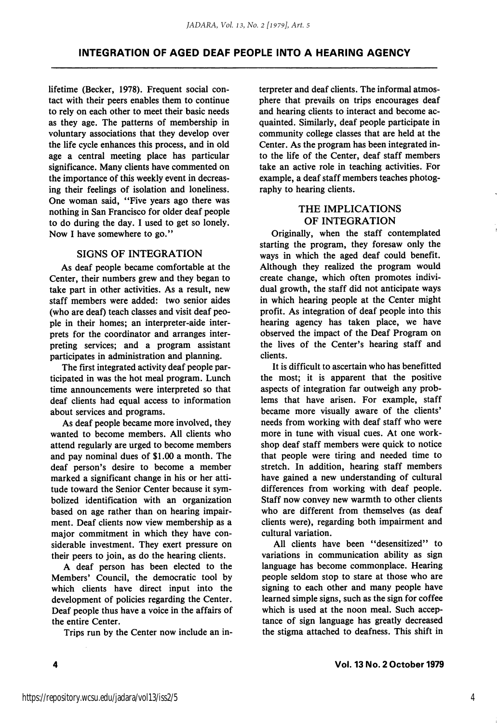lifetime (Becker, 1978). Frequent social con tact with their peers enables them to continue to rely on each other to meet their basic needs as they age. The patterns of membership in voluntary associations that they develop over the life cycle enhances this process, and in old age a central meeting place has particular significance. Many clients have commented on the importance of this weekly event in decreas ing their feelings of isolation and loneliness. One woman said, "Five years ago there was nothing in San Francisco for older deaf people to do during the day. I used to get so lonely. Now I have somewhere to go."

#### SIGNS OF INTEGRATION

As deaf people became comfortable at the Center, their numbers grew and they began to take part in other activities. As a result, new staff members were added: two senior aides (who are deaf) teach classes and visit deaf peo ple in their homes; an interpreter-aide inter prets for the coordinator and arranges inter preting services; and a program assistant participates in administration and planning.

The first integrated activity deaf people par ticipated in was the hot meal program. Lunch time announcements were interpreted so that deaf clients had equal access to information about services and programs.

As deaf people became more involved, they wanted to become members. All clients who attend regularly are urged to become members and pay nominal dues of \$1.00 a month. The deaf person's desire to become a member marked a significant change in his or her atti tude toward the Senior Center because it sym bolized identification with an organization based on age rather than on hearing impair ment. Deaf clients now view membership as a major commitment in which they have con siderable investment. They exert pressure on their peers to join, as do the hearing clients.

A deaf person has been elected to the Members' Council, the democratic tool by which clients have direct input into the development of policies regarding the Center. Deaf people thus have a voice in the affairs of the entire Center.

Trips run by the Center now include an in

terpreter and deaf clients. The informal atmos phere that prevails on trips encourages deaf and hearing clients to interact and become ac quainted. Similarly, deaf people participate in community college classes that are held at the Center. As the program has been integrated in to the life of the Center, deaf staff members take an active role in teaching activities. For example, a deaf staff members teaches photog raphy to hearing clients.

## THE IMPLICATIONS OF INTEGRATION

Originally, when the staff contemplated starting the program, they foresaw only the ways in which the aged deaf could benefit. Although they realized the program would create change, which often promotes indivi dual growth, the staff did not anticipate ways in which hearing people at the Center might profit. As integration of deaf people into this hearing agency has taken place, we have observed the impact of the Deaf Program on the lives of the Center's hearing staff and clients.

It is difficult to ascertain who has benefitted the most; it is apparent that the positive aspects of integration far outweigh any prob lems that have arisen. For example, staff became more visually aware of the clients' needs from working with deaf staff who were more in tune with visual cues. At one work shop deaf staff members were quick to notice that people were tiring and needed time to stretch. In addition, hearing staff members have gained a new understanding of cultural differences from working with deaf people. Staff now convey new warmth to other clients who are different from themselves (as deaf clients were), regarding both impairment and cultural variation.

All clients have been "desensitized" to variations in communication ability as sign language has become commonplace. Hearing people seldom stop to stare at those who are signing to each other and many people have learned simple signs, such as the sign for coffee which is used at the noon meal. Such accep tance of sign language has greatly decreased the stigma attached to deafness. This shift in

4